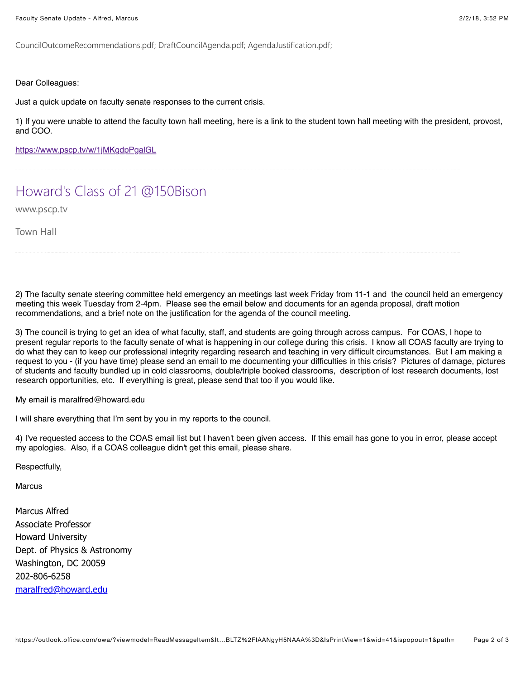CouncilOutcomeRecommendations.pdf; DraftCouncilAgenda.pdf; AgendaJustification.pdf;

Dear Colleagues:

Just a quick update on faculty senate responses to the current crisis.

1) If you were unable to attend the faculty town hall meeting, here is a link to the student town hall meeting with the president, provost, and COO.

<https://www.pscp.tv/w/1jMKgdpPgalGL>

## [Howard's Class of 21 @150Bison](https://www.pscp.tv/w/1jMKgdpPgalGL)

www.pscp.tv

Town Hall

2) The faculty senate steering committee held emergency an meetings last week Friday from 11-1 and the council held an emergency meeting this week Tuesday from 2-4pm. Please see the email below and documents for an agenda proposal, draft motion recommendations, and a brief note on the justification for the agenda of the council meeting.

3) The council is trying to get an idea of what faculty, staff, and students are going through across campus. For COAS, I hope to present regular reports to the faculty senate of what is happening in our college during this crisis. I know all COAS faculty are trying to do what they can to keep our professional integrity regarding research and teaching in very difficult circumstances. But I am making a request to you - (if you have time) please send an email to me documenting your difficulties in this crisis? Pictures of damage, pictures of students and faculty bundled up in cold classrooms, double/triple booked classrooms, description of lost research documents, lost research opportunities, etc. If everything is great, please send that too if you would like.

My email is maralfred@howard.edu

I will share everything that I'm sent by you in my reports to the council.

4) I've requested access to the COAS email list but I haven't been given access. If this email has gone to you in error, please accept my apologies. Also, if a COAS colleague didn't get this email, please share.

Respectfully,

**Marcus** 

Marcus Alfred Associate Professor Howard University Dept. of Physics & Astronomy Washington, DC 20059 202-806-6258 [maralfred@howard.edu](mailto:maralfred@howard.edu)